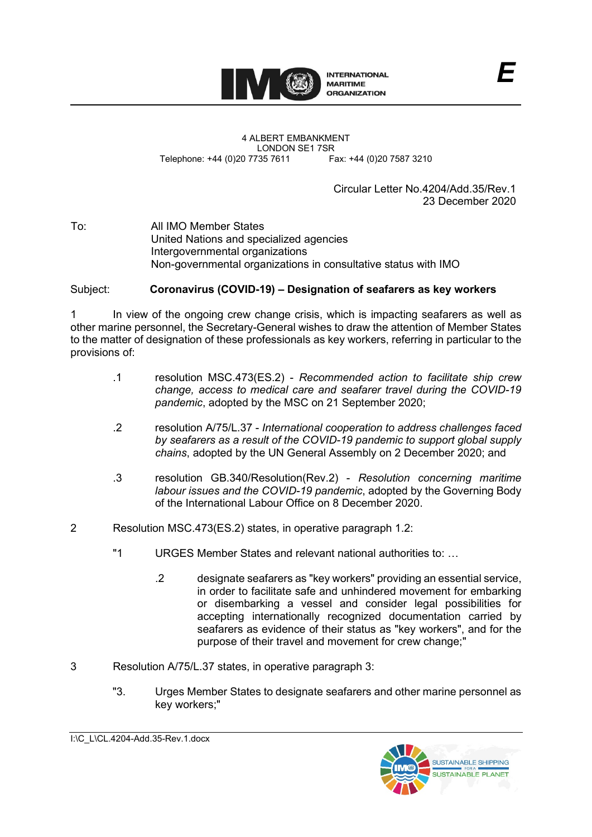

4 ALBERT EMBANKMENT Telephone: +44 (0)20 7735 7611

LONDON SE1 7SR<br>735 7611 Fax: +44 (0)20 7587 3210

Circular Letter No.4204/Add.35/Rev.1 23 December 2020

*E*

To: All IMO Member States United Nations and specialized agencies Intergovernmental organizations Non-governmental organizations in consultative status with IMO

## Subject: **Coronavirus (COVID-19) – Designation of seafarers as key workers**

1 In view of the ongoing crew change crisis, which is impacting seafarers as well as other marine personnel, the Secretary-General wishes to draw the attention of Member States to the matter of designation of these professionals as key workers, referring in particular to the provisions of:

- .1 resolution MSC.473(ES.2) *Recommended action to facilitate ship crew change, access to medical care and seafarer travel during the COVID-19 pandemic*, adopted by the MSC on 21 September 2020;
- .2 resolution A/75/L.37 *International cooperation to address challenges faced by seafarers as a result of the COVID-19 pandemic to support global supply chains*, adopted by the UN General Assembly on 2 December 2020; and
- .3 resolution GB.340/Resolution(Rev.2) *Resolution concerning maritime labour issues and the COVID-19 pandemic*, adopted by the Governing Body of the International Labour Office on 8 December 2020.
- 2 Resolution MSC.473(ES.2) states, in operative paragraph 1.2:
	- ʺ1 URGES Member States and relevant national authorities to: …
		- .2 designate seafarers as "key workers" providing an essential service, in order to facilitate safe and unhindered movement for embarking or disembarking a vessel and consider legal possibilities for accepting internationally recognized documentation carried by seafarers as evidence of their status as "key workers", and for the purpose of their travel and movement for crew change;"
- 3 Resolution A/75/L.37 states, in operative paragraph 3:
	- ʺ3. Urges Member States to designate seafarers and other marine personnel as key workers;"

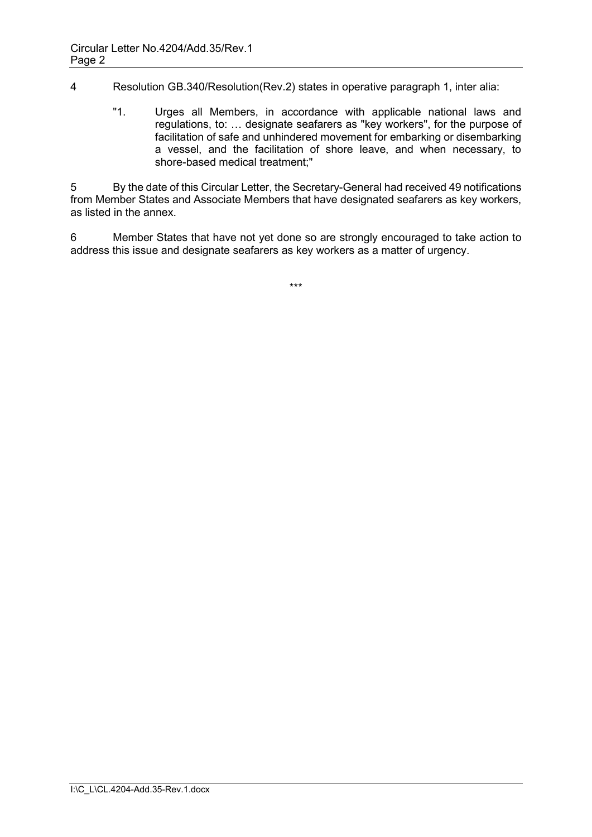4 Resolution GB.340/Resolution(Rev.2) states in operative paragraph 1, inter alia:

ʺ1. Urges all Members, in accordance with applicable national laws and regulations, to: ... designate seafarers as "key workers", for the purpose of facilitation of safe and unhindered movement for embarking or disembarking a vessel, and the facilitation of shore leave, and when necessary, to shore-based medical treatment;"

5 By the date of this Circular Letter, the Secretary-General had received 49 notifications from Member States and Associate Members that have designated seafarers as key workers, as listed in the annex.

6 Member States that have not yet done so are strongly encouraged to take action to address this issue and designate seafarers as key workers as a matter of urgency.

\*\*\*